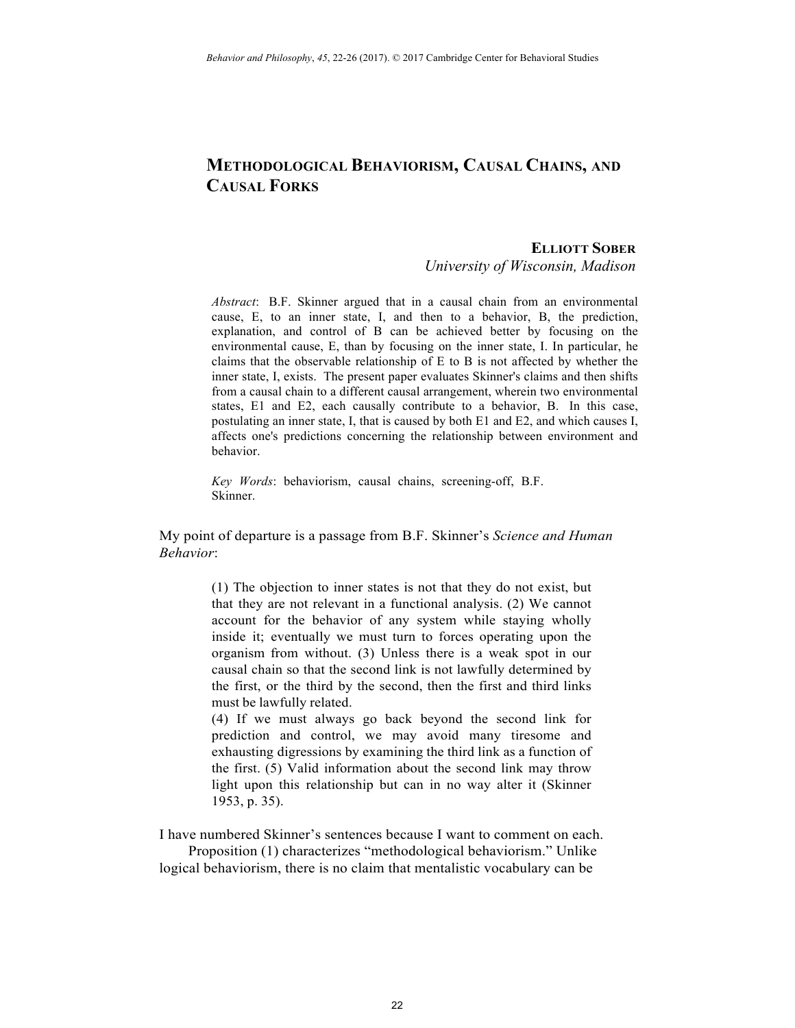## **METHODOLOGICAL BEHAVIORISM, CAUSAL CHAINS, AND CAUSAL FORKS**

## **ELLIOTT SOBER**

*University of Wisconsin, Madison* 

*Abstract*: B.F. Skinner argued that in a causal chain from an environmental cause, E, to an inner state, I, and then to a behavior, B, the prediction, explanation, and control of B can be achieved better by focusing on the environmental cause, E, than by focusing on the inner state, I. In particular, he claims that the observable relationship of E to B is not affected by whether the inner state, I, exists. The present paper evaluates Skinner's claims and then shifts from a causal chain to a different causal arrangement, wherein two environmental states, E1 and E2, each causally contribute to a behavior, B. In this case, postulating an inner state, I, that is caused by both E1 and E2, and which causes I, affects one's predictions concerning the relationship between environment and behavior.

*Key Words*: behaviorism, causal chains, screening-off, B.F. Skinner.

My point of departure is a passage from B.F. Skinner's *Science and Human Behavior*:

> (1) The objection to inner states is not that they do not exist, but that they are not relevant in a functional analysis. (2) We cannot account for the behavior of any system while staying wholly inside it; eventually we must turn to forces operating upon the organism from without. (3) Unless there is a weak spot in our causal chain so that the second link is not lawfully determined by the first, or the third by the second, then the first and third links must be lawfully related.

> (4) If we must always go back beyond the second link for prediction and control, we may avoid many tiresome and exhausting digressions by examining the third link as a function of the first. (5) Valid information about the second link may throw light upon this relationship but can in no way alter it (Skinner 1953, p. 35).

I have numbered Skinner's sentences because I want to comment on each.

Proposition (1) characterizes "methodological behaviorism." Unlike logical behaviorism, there is no claim that mentalistic vocabulary can be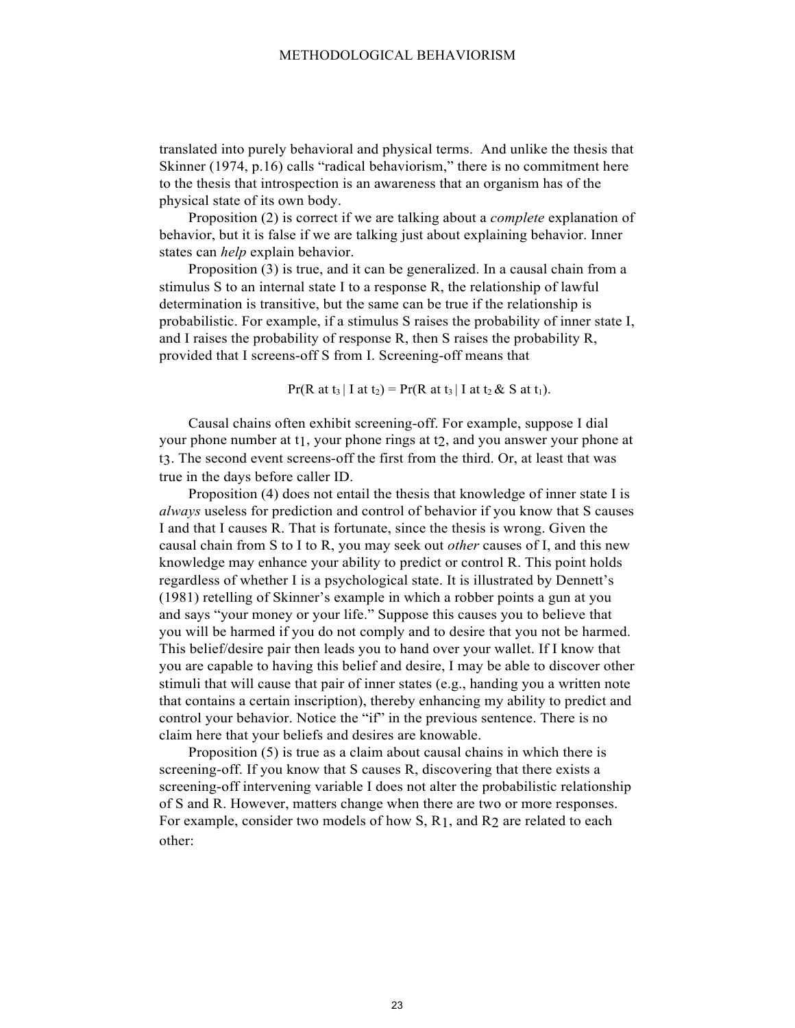translated into purely behavioral and physical terms. And unlike the thesis that Skinner (1974, p.16) calls "radical behaviorism," there is no commitment here to the thesis that introspection is an awareness that an organism has of the physical state of its own body.

Proposition (2) is correct if we are talking about a *complete* explanation of behavior, but it is false if we are talking just about explaining behavior. Inner states can *help* explain behavior.

Proposition (3) is true, and it can be generalized. In a causal chain from a stimulus S to an internal state I to a response R, the relationship of lawful determination is transitive, but the same can be true if the relationship is probabilistic. For example, if a stimulus S raises the probability of inner state I, and I raises the probability of response R, then S raises the probability R, provided that I screens-off S from I. Screening-off means that

 $Pr(R \text{ at } t_3 | I \text{ at } t_2) = Pr(R \text{ at } t_3 | I \text{ at } t_2 \& S \text{ at } t_1).$ 

Causal chains often exhibit screening-off. For example, suppose I dial your phone number at t1, your phone rings at t2, and you answer your phone at t3. The second event screens-off the first from the third. Or, at least that was true in the days before caller ID.

Proposition (4) does not entail the thesis that knowledge of inner state I is *always* useless for prediction and control of behavior if you know that S causes I and that I causes R. That is fortunate, since the thesis is wrong. Given the causal chain from S to I to R, you may seek out *other* causes of I, and this new knowledge may enhance your ability to predict or control R. This point holds regardless of whether I is a psychological state. It is illustrated by Dennett's (1981) retelling of Skinner's example in which a robber points a gun at you and says "your money or your life." Suppose this causes you to believe that you will be harmed if you do not comply and to desire that you not be harmed. This belief/desire pair then leads you to hand over your wallet. If I know that you are capable to having this belief and desire, I may be able to discover other stimuli that will cause that pair of inner states (e.g., handing you a written note that contains a certain inscription), thereby enhancing my ability to predict and control your behavior. Notice the "if" in the previous sentence. There is no claim here that your beliefs and desires are knowable.

Proposition (5) is true as a claim about causal chains in which there is screening-off. If you know that S causes R, discovering that there exists a screening-off intervening variable I does not alter the probabilistic relationship of S and R. However, matters change when there are two or more responses. For example, consider two models of how S, R1, and R2 are related to each other: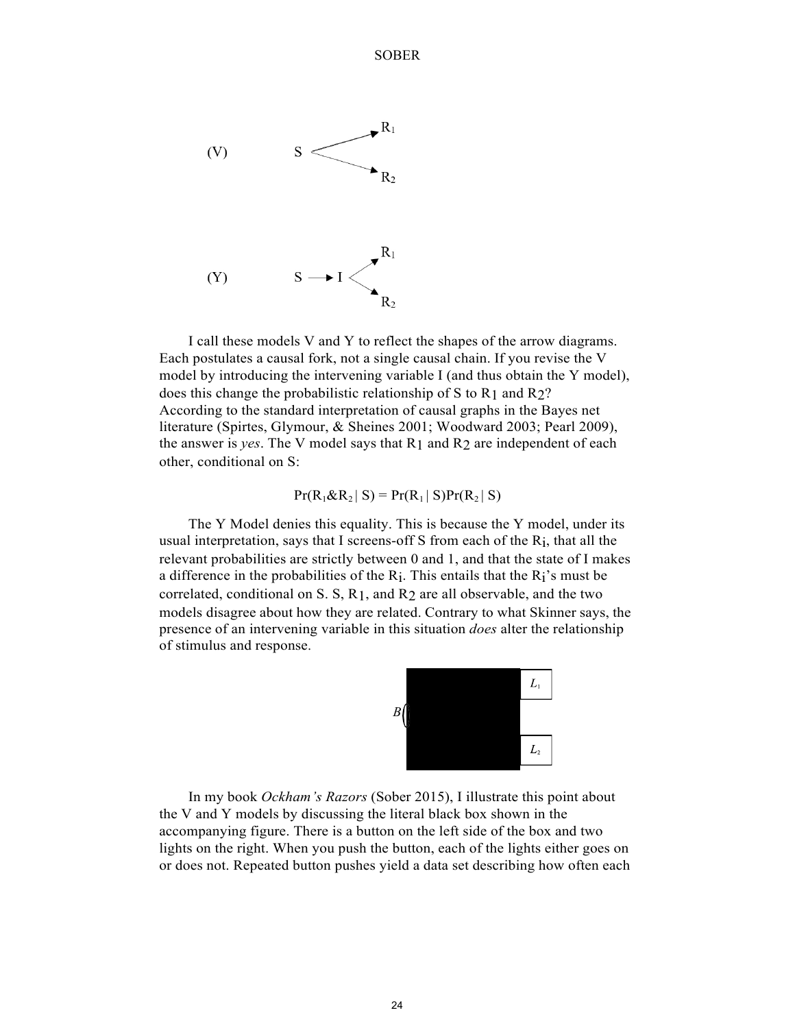SOBER



I call these models V and Y to reflect the shapes of the arrow diagrams. Each postulates a causal fork, not a single causal chain. If you revise the V model by introducing the intervening variable I (and thus obtain the Y model), does this change the probabilistic relationship of S to R1 and R2? According to the standard interpretation of causal graphs in the Bayes net literature (Spirtes, Glymour, & Sheines 2001; Woodward 2003; Pearl 2009), the answer is *yes*. The V model says that R1 and R2 are independent of each other, conditional on S:

$$
Pr(R_1 \& R_2 | S) = Pr(R_1 | S)Pr(R_2 | S)
$$

The Y Model denies this equality. This is because the Y model, under its usual interpretation, says that I screens-off S from each of the Ri, that all the relevant probabilities are strictly between 0 and 1, and that the state of I makes a difference in the probabilities of the  $R_i$ . This entails that the  $R_i$ 's must be correlated, conditional on S. S, R1, and R2 are all observable, and the two models disagree about how they are related. Contrary to what Skinner says, the presence of an intervening variable in this situation *does* alter the relationship of stimulus and response.



In my book *Ockham's Razors* (Sober 2015), I illustrate this point about the V and Y models by discussing the literal black box shown in the accompanying figure. There is a button on the left side of the box and two lights on the right. When you push the button, each of the lights either goes on or does not. Repeated button pushes yield a data set describing how often each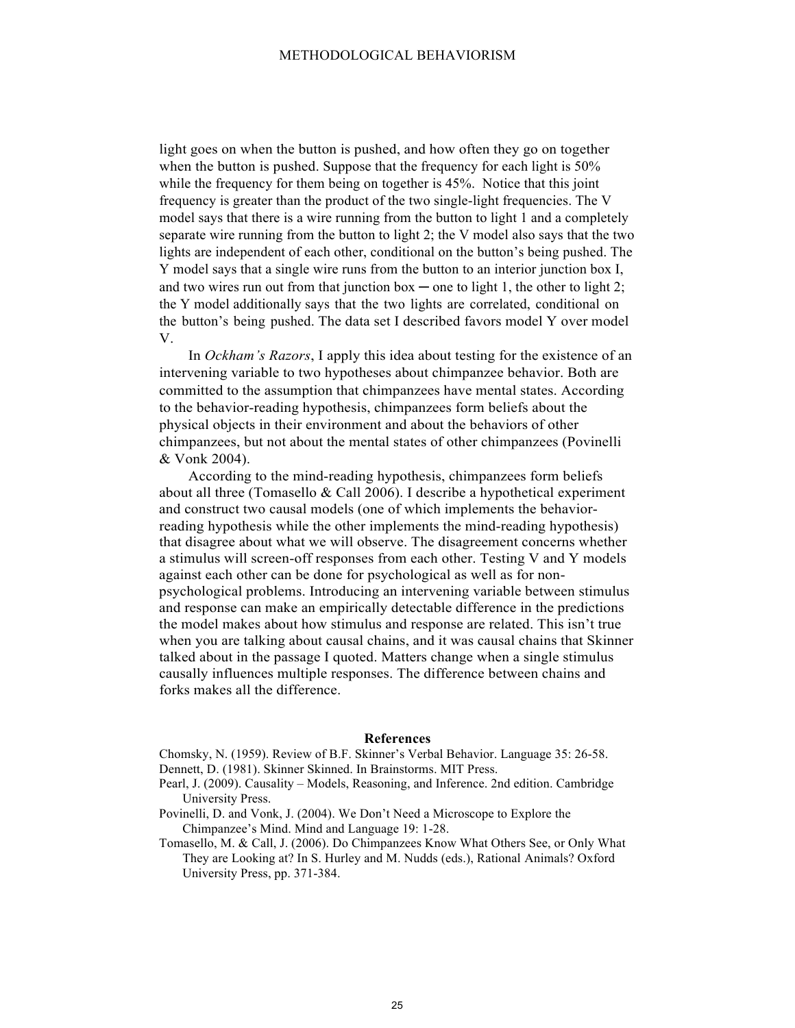light goes on when the button is pushed, and how often they go on together when the button is pushed. Suppose that the frequency for each light is 50% while the frequency for them being on together is 45%. Notice that this joint frequency is greater than the product of the two single-light frequencies. The V model says that there is a wire running from the button to light 1 and a completely separate wire running from the button to light 2; the V model also says that the two lights are independent of each other, conditional on the button's being pushed. The Y model says that a single wire runs from the button to an interior junction box I, and two wires run out from that junction box — one to light 1, the other to light 2; the Y model additionally says that the two lights are correlated, conditional on the button's being pushed. The data set I described favors model Y over model V.

In *Ockham's Razors*, I apply this idea about testing for the existence of an intervening variable to two hypotheses about chimpanzee behavior. Both are committed to the assumption that chimpanzees have mental states. According to the behavior-reading hypothesis, chimpanzees form beliefs about the physical objects in their environment and about the behaviors of other chimpanzees, but not about the mental states of other chimpanzees (Povinelli & Vonk 2004).

According to the mind-reading hypothesis, chimpanzees form beliefs about all three (Tomasello & Call 2006). I describe a hypothetical experiment and construct two causal models (one of which implements the behaviorreading hypothesis while the other implements the mind-reading hypothesis) that disagree about what we will observe. The disagreement concerns whether a stimulus will screen-off responses from each other. Testing V and Y models against each other can be done for psychological as well as for nonpsychological problems. Introducing an intervening variable between stimulus and response can make an empirically detectable difference in the predictions the model makes about how stimulus and response are related. This isn't true when you are talking about causal chains, and it was causal chains that Skinner talked about in the passage I quoted. Matters change when a single stimulus causally influences multiple responses. The difference between chains and forks makes all the difference.

## **References**

Chomsky, N. (1959). Review of B.F. Skinner's Verbal Behavior. Language 35: 26-58. Dennett, D. (1981). Skinner Skinned. In Brainstorms. MIT Press.

- Pearl, J. (2009). Causality Models, Reasoning, and Inference. 2nd edition. Cambridge University Press.
- Povinelli, D. and Vonk, J. (2004). We Don't Need a Microscope to Explore the Chimpanzee's Mind. Mind and Language 19: 1-28.
- Tomasello, M. & Call, J. (2006). Do Chimpanzees Know What Others See, or Only What They are Looking at? In S. Hurley and M. Nudds (eds.), Rational Animals? Oxford University Press, pp. 371-384.